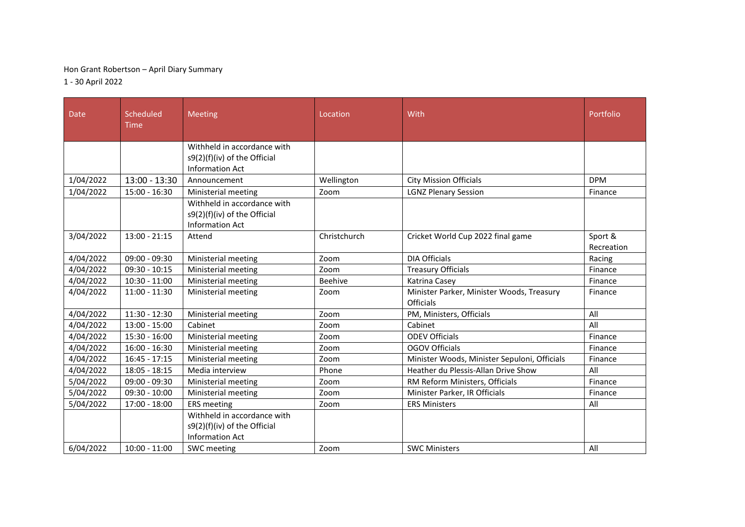## Hon Grant Robertson – April Diary Summary

1 - 30 April 2022

| <b>Date</b> | Scheduled<br><b>Time</b> | <b>Meeting</b>                                                                        | Location     | With                                                          | Portfolio  |
|-------------|--------------------------|---------------------------------------------------------------------------------------|--------------|---------------------------------------------------------------|------------|
|             |                          | Withheld in accordance with<br>s9(2)(f)(iv) of the Official                           |              |                                                               |            |
|             |                          | <b>Information Act</b>                                                                |              |                                                               |            |
| 1/04/2022   | $13:00 - 13:30$          | Announcement                                                                          | Wellington   | <b>City Mission Officials</b>                                 | <b>DPM</b> |
| 1/04/2022   | 15:00 - 16:30            | Ministerial meeting                                                                   | Zoom         | <b>LGNZ Plenary Session</b>                                   | Finance    |
|             |                          | Withheld in accordance with<br>s9(2)(f)(iv) of the Official<br><b>Information Act</b> |              |                                                               |            |
| 3/04/2022   | $13:00 - 21:15$          | Attend                                                                                | Christchurch | Cricket World Cup 2022 final game                             | Sport &    |
|             |                          |                                                                                       |              |                                                               | Recreation |
| 4/04/2022   | $09:00 - 09:30$          | Ministerial meeting                                                                   | Zoom         | <b>DIA Officials</b>                                          | Racing     |
| 4/04/2022   | $09:30 - 10:15$          | Ministerial meeting                                                                   | Zoom         | <b>Treasury Officials</b>                                     | Finance    |
| 4/04/2022   | $10:30 - 11:00$          | Ministerial meeting                                                                   | Beehive      | Katrina Casey                                                 | Finance    |
| 4/04/2022   | $11:00 - 11:30$          | Ministerial meeting                                                                   | Zoom         | Minister Parker, Minister Woods, Treasury<br><b>Officials</b> | Finance    |
| 4/04/2022   | 11:30 - 12:30            | Ministerial meeting                                                                   | Zoom         | PM, Ministers, Officials                                      | All        |
| 4/04/2022   | 13:00 - 15:00            | Cabinet                                                                               | Zoom         | Cabinet                                                       | All        |
| 4/04/2022   | 15:30 - 16:00            | Ministerial meeting                                                                   | Zoom         | <b>ODEV Officials</b>                                         | Finance    |
| 4/04/2022   | $16:00 - 16:30$          | Ministerial meeting                                                                   | Zoom         | <b>OGOV Officials</b>                                         | Finance    |
| 4/04/2022   | $16:45 - 17:15$          | Ministerial meeting                                                                   | Zoom         | Minister Woods, Minister Sepuloni, Officials                  | Finance    |
| 4/04/2022   | $18:05 - 18:15$          | Media interview                                                                       | Phone        | Heather du Plessis-Allan Drive Show                           | All        |
| 5/04/2022   | $09:00 - 09:30$          | Ministerial meeting                                                                   | Zoom         | RM Reform Ministers, Officials                                | Finance    |
| 5/04/2022   | $09:30 - 10:00$          | Ministerial meeting                                                                   | Zoom         | Minister Parker, IR Officials                                 | Finance    |
| 5/04/2022   | 17:00 - 18:00            | <b>ERS</b> meeting                                                                    | Zoom         | <b>ERS Ministers</b>                                          | All        |
|             |                          | Withheld in accordance with<br>s9(2)(f)(iv) of the Official<br>Information Act        |              |                                                               |            |
| 6/04/2022   | $10:00 - 11:00$          | SWC meeting                                                                           | Zoom         | <b>SWC Ministers</b>                                          | All        |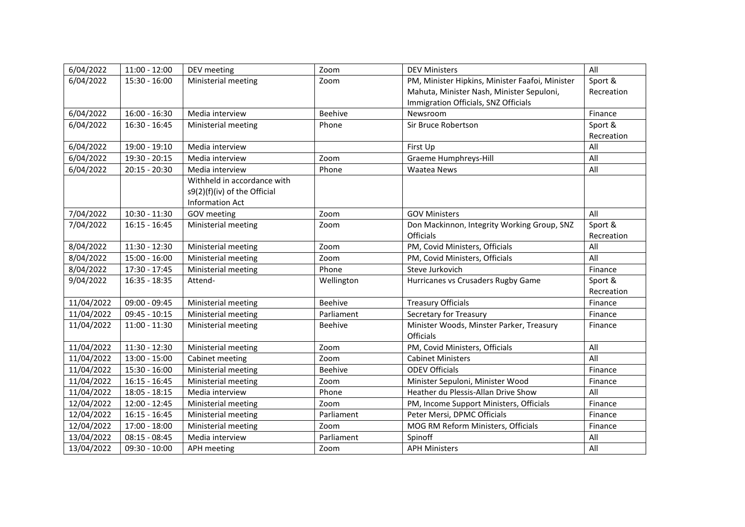| 6/04/2022  | $11:00 - 12:00$ | DEV meeting                  | Zoom           | <b>DEV Ministers</b>                            | All        |
|------------|-----------------|------------------------------|----------------|-------------------------------------------------|------------|
| 6/04/2022  | $15:30 - 16:00$ | Ministerial meeting          | Zoom           | PM, Minister Hipkins, Minister Faafoi, Minister | Sport &    |
|            |                 |                              |                | Mahuta, Minister Nash, Minister Sepuloni,       | Recreation |
|            |                 |                              |                | Immigration Officials, SNZ Officials            |            |
| 6/04/2022  | $16:00 - 16:30$ | Media interview              | Beehive        | Newsroom                                        | Finance    |
| 6/04/2022  | $16:30 - 16:45$ | Ministerial meeting          | Phone          | Sir Bruce Robertson                             | Sport &    |
|            |                 |                              |                |                                                 | Recreation |
| 6/04/2022  | 19:00 - 19:10   | Media interview              |                | First Up                                        | All        |
| 6/04/2022  | 19:30 - 20:15   | Media interview              | Zoom           | Graeme Humphreys-Hill                           | All        |
| 6/04/2022  | $20:15 - 20:30$ | Media interview              | Phone          | <b>Waatea News</b>                              | All        |
|            |                 | Withheld in accordance with  |                |                                                 |            |
|            |                 | s9(2)(f)(iv) of the Official |                |                                                 |            |
|            |                 | <b>Information Act</b>       |                |                                                 |            |
| 7/04/2022  | 10:30 - 11:30   | GOV meeting                  | Zoom           | <b>GOV Ministers</b>                            | All        |
| 7/04/2022  | $16:15 - 16:45$ | Ministerial meeting          | Zoom           | Don Mackinnon, Integrity Working Group, SNZ     | Sport &    |
|            |                 |                              |                | Officials                                       | Recreation |
| 8/04/2022  | 11:30 - 12:30   | Ministerial meeting          | Zoom           | PM, Covid Ministers, Officials                  | All        |
| 8/04/2022  | $15:00 - 16:00$ | Ministerial meeting          | Zoom           | PM, Covid Ministers, Officials                  | All        |
| 8/04/2022  | 17:30 - 17:45   | Ministerial meeting          | Phone          | Steve Jurkovich                                 | Finance    |
| 9/04/2022  | $16:35 - 18:35$ | Attend-                      | Wellington     | Hurricanes vs Crusaders Rugby Game              | Sport &    |
|            |                 |                              |                |                                                 | Recreation |
| 11/04/2022 | 09:00 - 09:45   | Ministerial meeting          | <b>Beehive</b> | <b>Treasury Officials</b>                       | Finance    |
| 11/04/2022 | $09:45 - 10:15$ | Ministerial meeting          | Parliament     | Secretary for Treasury                          | Finance    |
| 11/04/2022 | $11:00 - 11:30$ | Ministerial meeting          | Beehive        | Minister Woods, Minster Parker, Treasury        | Finance    |
|            |                 |                              |                | Officials                                       |            |
| 11/04/2022 | 11:30 - 12:30   | Ministerial meeting          | Zoom           | PM, Covid Ministers, Officials                  | All        |
| 11/04/2022 | $13:00 - 15:00$ | Cabinet meeting              | Zoom           | <b>Cabinet Ministers</b>                        | All        |
| 11/04/2022 | 15:30 - 16:00   | Ministerial meeting          | Beehive        | <b>ODEV Officials</b>                           | Finance    |
| 11/04/2022 | $16:15 - 16:45$ | Ministerial meeting          | Zoom           | Minister Sepuloni, Minister Wood                | Finance    |
| 11/04/2022 | 18:05 - 18:15   | Media interview              | Phone          | Heather du Plessis-Allan Drive Show             | All        |
| 12/04/2022 | 12:00 - 12:45   | Ministerial meeting          | Zoom           | PM, Income Support Ministers, Officials         | Finance    |
| 12/04/2022 | $16:15 - 16:45$ | Ministerial meeting          | Parliament     | Peter Mersi, DPMC Officials                     | Finance    |
| 12/04/2022 | 17:00 - 18:00   | Ministerial meeting          | Zoom           | MOG RM Reform Ministers, Officials              | Finance    |
| 13/04/2022 | $08:15 - 08:45$ | Media interview              | Parliament     | Spinoff                                         | All        |
| 13/04/2022 | $09:30 - 10:00$ | <b>APH</b> meeting           | Zoom           | <b>APH Ministers</b>                            | All        |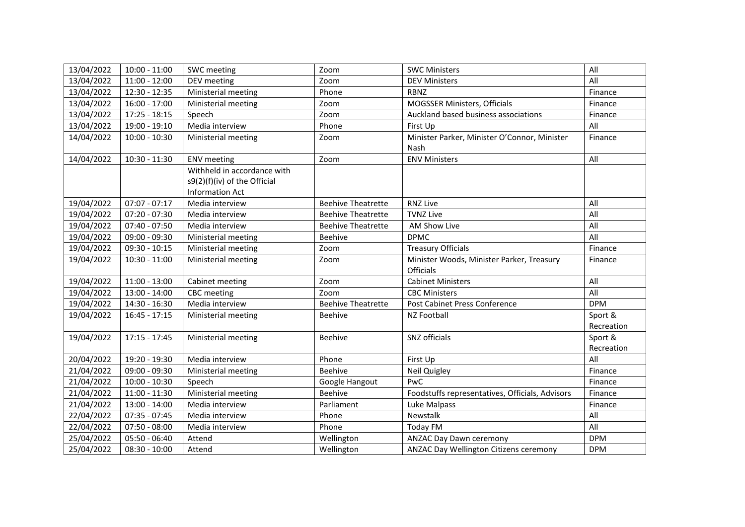| 13/04/2022 | $10:00 - 11:00$ | SWC meeting                  | Zoom                      | <b>SWC Ministers</b>                            | All        |
|------------|-----------------|------------------------------|---------------------------|-------------------------------------------------|------------|
| 13/04/2022 | $11:00 - 12:00$ | DEV meeting                  | Zoom                      | <b>DEV Ministers</b>                            | All        |
| 13/04/2022 | 12:30 - 12:35   | Ministerial meeting          | Phone                     | <b>RBNZ</b>                                     | Finance    |
| 13/04/2022 | 16:00 - 17:00   | Ministerial meeting          | Zoom                      | MOGSSER Ministers, Officials                    | Finance    |
| 13/04/2022 | $17:25 - 18:15$ | Speech                       | Zoom                      | Auckland based business associations            | Finance    |
| 13/04/2022 | 19:00 - 19:10   | Media interview              | Phone                     | First Up                                        | All        |
| 14/04/2022 | $10:00 - 10:30$ | Ministerial meeting          | Zoom                      | Minister Parker, Minister O'Connor, Minister    | Finance    |
|            |                 |                              |                           | Nash                                            |            |
| 14/04/2022 | 10:30 - 11:30   | <b>ENV</b> meeting           | Zoom                      | <b>ENV Ministers</b>                            | All        |
|            |                 | Withheld in accordance with  |                           |                                                 |            |
|            |                 | s9(2)(f)(iv) of the Official |                           |                                                 |            |
|            |                 | <b>Information Act</b>       |                           |                                                 |            |
| 19/04/2022 | $07:07 - 07:17$ | Media interview              | <b>Beehive Theatrette</b> | <b>RNZ Live</b>                                 | All        |
| 19/04/2022 | $07:20 - 07:30$ | Media interview              | <b>Beehive Theatrette</b> | <b>TVNZ Live</b>                                | All        |
| 19/04/2022 | $07:40 - 07:50$ | Media interview              | <b>Beehive Theatrette</b> | AM Show Live                                    | All        |
| 19/04/2022 | 09:00 - 09:30   | Ministerial meeting          | Beehive                   | <b>DPMC</b>                                     | All        |
| 19/04/2022 | $09:30 - 10:15$ | Ministerial meeting          | Zoom                      | <b>Treasury Officials</b>                       | Finance    |
| 19/04/2022 | $10:30 - 11:00$ | Ministerial meeting          | Zoom                      | Minister Woods, Minister Parker, Treasury       | Finance    |
|            |                 |                              |                           | <b>Officials</b>                                |            |
| 19/04/2022 | $11:00 - 13:00$ | Cabinet meeting              | Zoom                      | <b>Cabinet Ministers</b>                        | All        |
| 19/04/2022 | 13:00 - 14:00   | CBC meeting                  | Zoom                      | <b>CBC Ministers</b>                            | All        |
| 19/04/2022 | 14:30 - 16:30   | Media interview              | <b>Beehive Theatrette</b> | Post Cabinet Press Conference                   | <b>DPM</b> |
| 19/04/2022 | $16:45 - 17:15$ | Ministerial meeting          | <b>Beehive</b>            | <b>NZ Football</b>                              | Sport &    |
|            |                 |                              |                           |                                                 | Recreation |
| 19/04/2022 | $17:15 - 17:45$ | Ministerial meeting          | Beehive                   | SNZ officials                                   | Sport &    |
|            |                 |                              |                           |                                                 | Recreation |
| 20/04/2022 | 19:20 - 19:30   | Media interview              | Phone                     | First Up                                        | All        |
| 21/04/2022 | 09:00 - 09:30   | Ministerial meeting          | <b>Beehive</b>            | Neil Quigley                                    | Finance    |
| 21/04/2022 | $10:00 - 10:30$ | Speech                       | Google Hangout            | PwC                                             | Finance    |
| 21/04/2022 | $11:00 - 11:30$ | Ministerial meeting          | <b>Beehive</b>            | Foodstuffs representatives, Officials, Advisors | Finance    |
| 21/04/2022 | $13:00 - 14:00$ | Media interview              | Parliament                | Luke Malpass                                    | Finance    |
| 22/04/2022 | $07:35 - 07:45$ | Media interview              | Phone                     | Newstalk                                        | All        |
| 22/04/2022 | $07:50 - 08:00$ | Media interview              | Phone                     | <b>Today FM</b>                                 | All        |
| 25/04/2022 | 05:50 - 06:40   | Attend                       | Wellington                | <b>ANZAC Day Dawn ceremony</b>                  | <b>DPM</b> |
| 25/04/2022 | $08:30 - 10:00$ | Attend                       | Wellington                | ANZAC Day Wellington Citizens ceremony          | <b>DPM</b> |